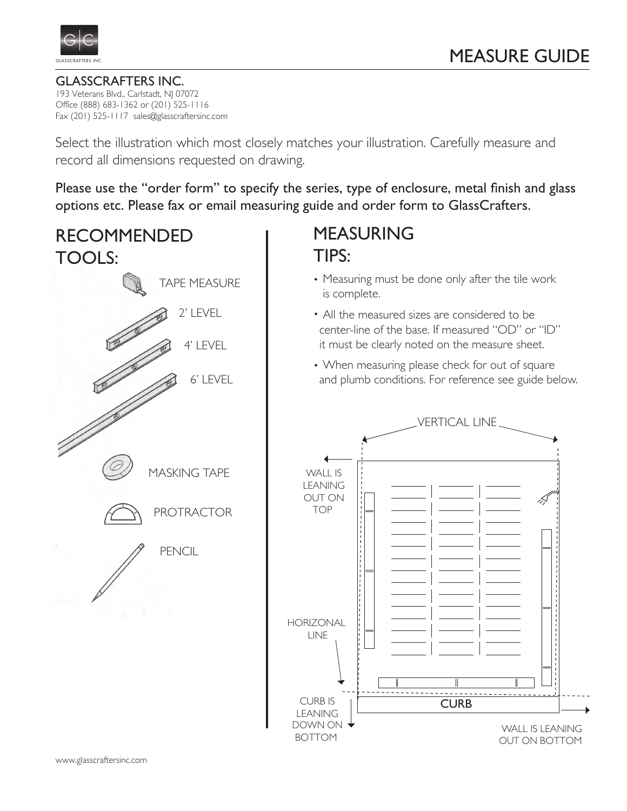

GLASSCRAFTERS INC. 193 Veterans Blvd., Carlstadt, NJ 07072 Office (888) 683-1362 or (201) 525-1116 Fax (201) 525-1117 sales@glasscraftersinc.com

Select the illustration which most closely matches your illustration. Carefully measure and record all dimensions requested on drawing.

Please use the "order form" to specify the series, type of enclosure, metal finish and glass options etc. Please fax or email measuring guide and order form to GlassCrafters.

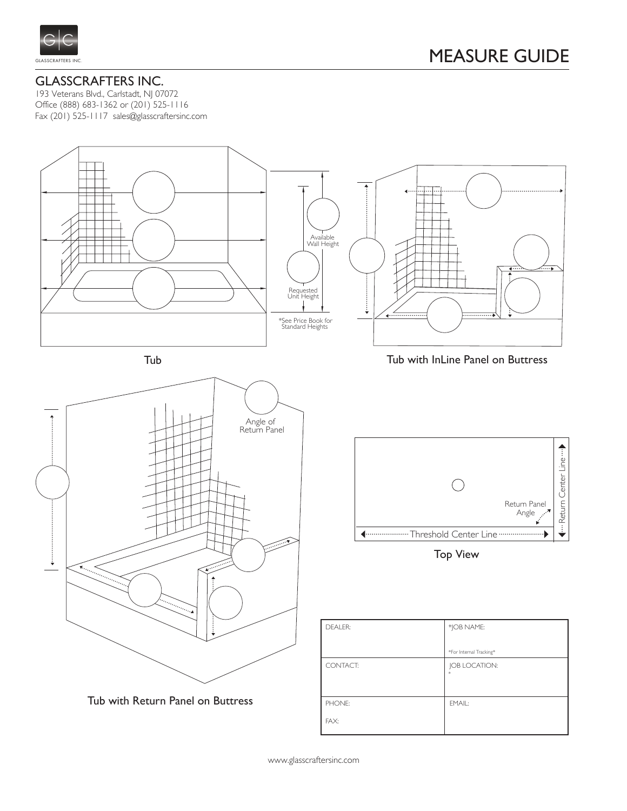

193 Veterans Blvd., Carlstadt, NJ 07072 Office (888) 683-1362 or (201) 525-1116 Fax (201) 525-1117 sales@glasscraftersinc.com

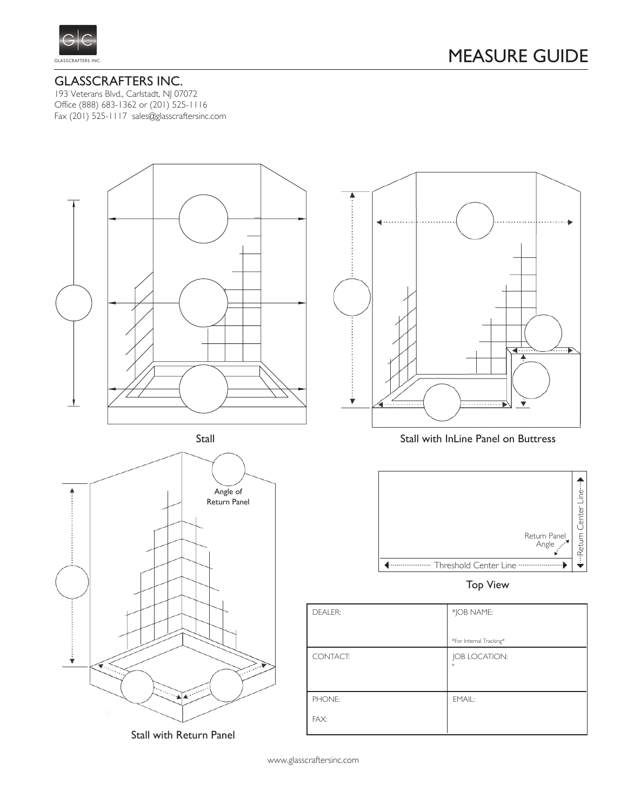

193 Veterans Blvd., Carlstadt, NJ 07072 Office (888) 683-1362 or (201) 525-1116 Fax (201) 525-1117 sales@glasscraftersinc.com



Stall with Return Panel

 $\overline{\phantom{a}}$ ◀ ▼

Stall with InLine Panel on Buttress



Top View

| <b>DEALER:</b> | *JOB NAME:              |
|----------------|-------------------------|
|                | *For Internal Tracking* |
| CONTACT:       | JOB LOCATION:<br>ŵ      |
|                |                         |
| PHONE:         | EMAIL:                  |
| FAX:           |                         |

www.glasscraftersinc.com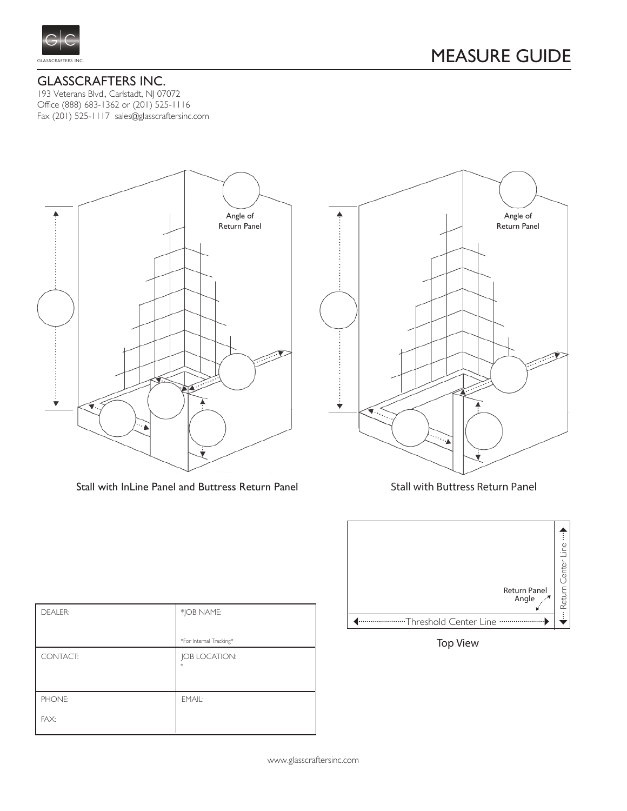

193 Veterans Blvd., Carlstadt, NJ 07072 Office (888) 683-1362 or (201) 525-1116 Fax (201) 525-1117 sales@glasscraftersinc.com



Stall with InLine Panel and Buttress Return Panel Stall with Buttress Return Panel





Top View

| <b>DEALER:</b> | *JOB NAME:              |
|----------------|-------------------------|
|                | *For Internal Tracking* |
| CONTACT:       | JOB LOCATION:           |
| PHONE:         | EMAIL:                  |
| FAX:           |                         |

www.glasscraftersinc.com